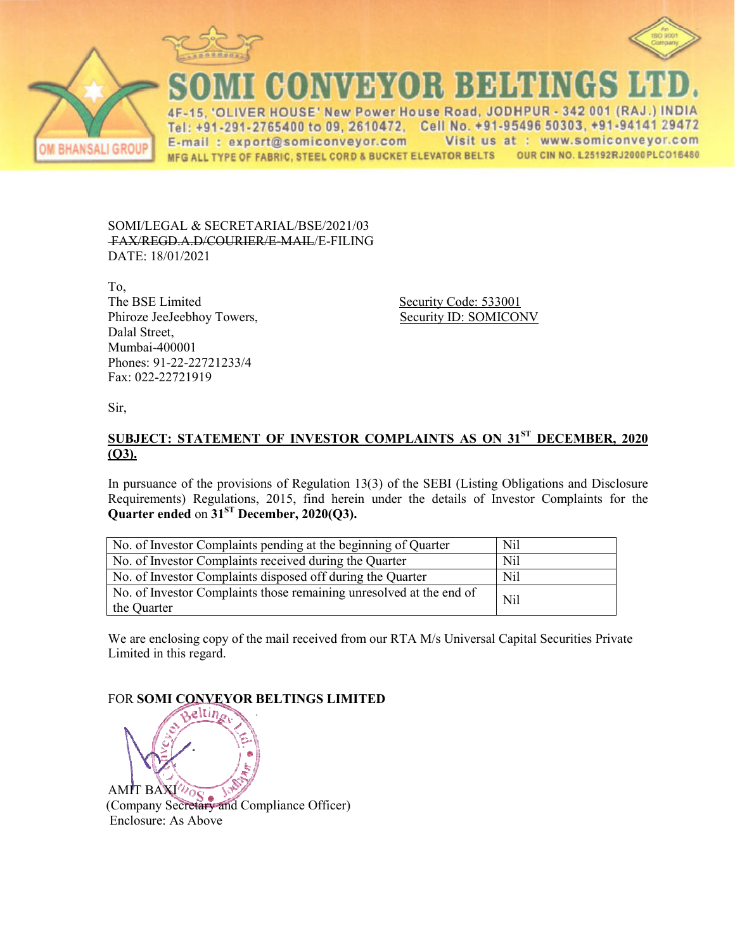



**BHANSALI GROUP** 

**CONVEYOR BELTINGS** 

**VER HOUSE' New Power House Road, JODHPUR** 342 001 (RAJ  $4F$ Tel: +91-291-2765400 to 09, 2610472. Cell No. +91-95496 50303, +91-94141 29472 E-mail: export@somiconveyor.com Visit us at: www.somiconveyor.com OUR CIN NO. L25192RJ2000PLCO16480 MFG ALL TYPE OF FABRIC, STEEL CORD & BUCKET ELEVATOR BELTS

SOMI/LEGAL & SECRETARIAL/BSE/2021/03 FAX/REGD.A.D/COURIER/E R/E-MAIL/E-FILING DATE: 18/01/2021

To, The BSE Limited Phiroze JeeJeebhoy Towers, Dalal Street, Mumbai-400001 Phones: 91-22-22721233/4 Fax: 022-22721919

 Security Code: 533001 Security ID: SOMICONV

Sir,

## **<u>SUBJECT: STATEMENT OF INVESTOR COMPLAINTS AS ON 31<sup>ST</sup> DECEMBER, 2020</u> (Q3).**

In pursuance of the provisions of Regulation 13(3) of the SEBI (Listing Obligations and Disclosure Requirements) Regulations, 2015, find herein under the details of Investor Complaints for the **Quarter ended** on  $31<sup>ST</sup>$  **December, 2020(Q3).** 

| No. of Investor Complaints pending at the beginning of Quarter                     | Nil        |
|------------------------------------------------------------------------------------|------------|
| No. of Investor Complaints received during the Quarter                             | <b>Nil</b> |
| No. of Investor Complaints disposed off during the Quarter                         | Nil        |
| No. of Investor Complaints those remaining unresolved at the end of<br>the Quarter | Nil        |

We are enclosing copy of the mail received from our RTA M/s Universal Capital Securities Private Limited in this regard.

FOR **SOMI CONVEYOR BEL BELTINGS LIMITED**

AMIT BAXI (Company Secretary and Compliance Officer) Enclosure: As Above